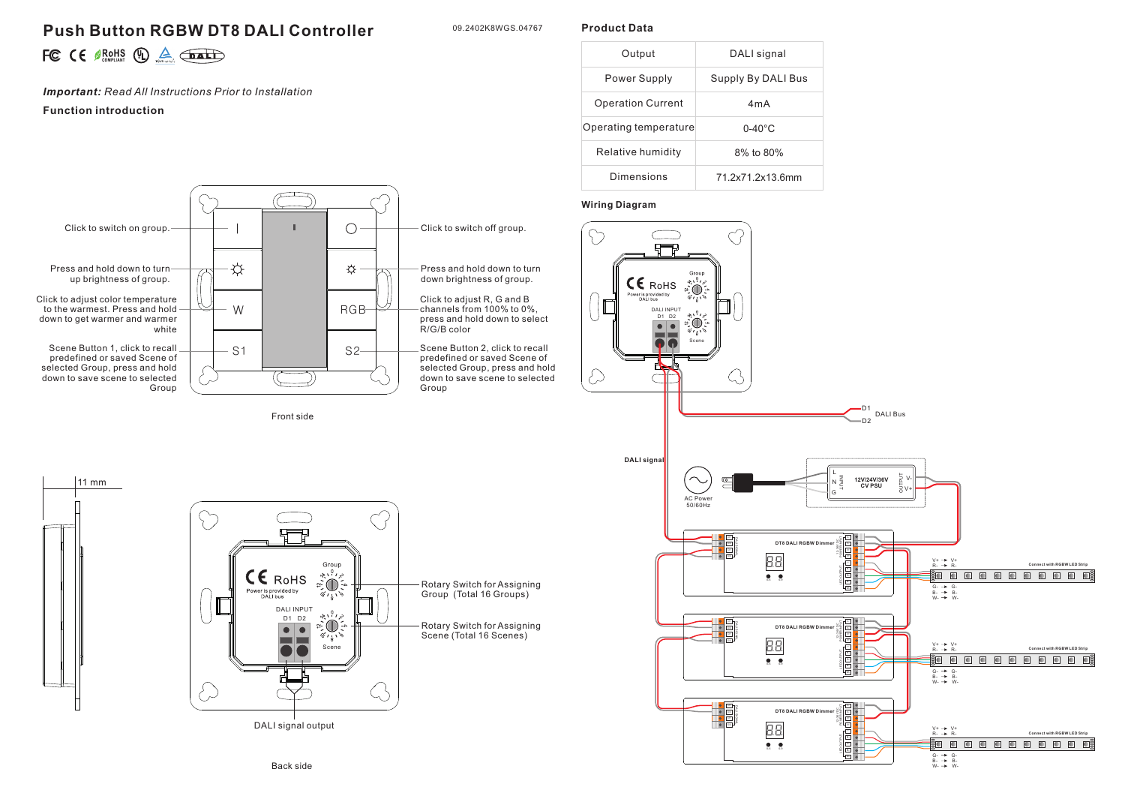# **Push Button RGBW DT8 DALI Controller**

09.2402K8WGS.04767

**Product Data**

| ∽ |  | $\in$ $\epsilon$ $\mathbb{R}$ of $\mathbb{R}$ $\mathbb{R}$ $\mathbb{R}$ $\mathbb{R}$ $\mathbb{R}$ $\mathbb{R}$ $\mathbb{R}$ $\mathbb{R}$ $\mathbb{R}$ $\mathbb{R}$ $\mathbb{R}$ $\mathbb{R}$ $\mathbb{R}$ $\mathbb{R}$ $\mathbb{R}$ $\mathbb{R}$ $\mathbb{R}$ $\mathbb{R}$ $\mathbb{R}$ $\mathbb{R}$ $\mathbb{R}$ $\mathbb{R}$ |  |  | $\triangle$ $\bigoplus$ $\bigoplus$ |
|---|--|--------------------------------------------------------------------------------------------------------------------------------------------------------------------------------------------------------------------------------------------------------------------------------------------------------------------------------|--|--|-------------------------------------|
|---|--|--------------------------------------------------------------------------------------------------------------------------------------------------------------------------------------------------------------------------------------------------------------------------------------------------------------------------------|--|--|-------------------------------------|

*Important: Read All Instructions Prior to Installation*

## **Function introduction**



#### **Wiring Diagram**





Front side